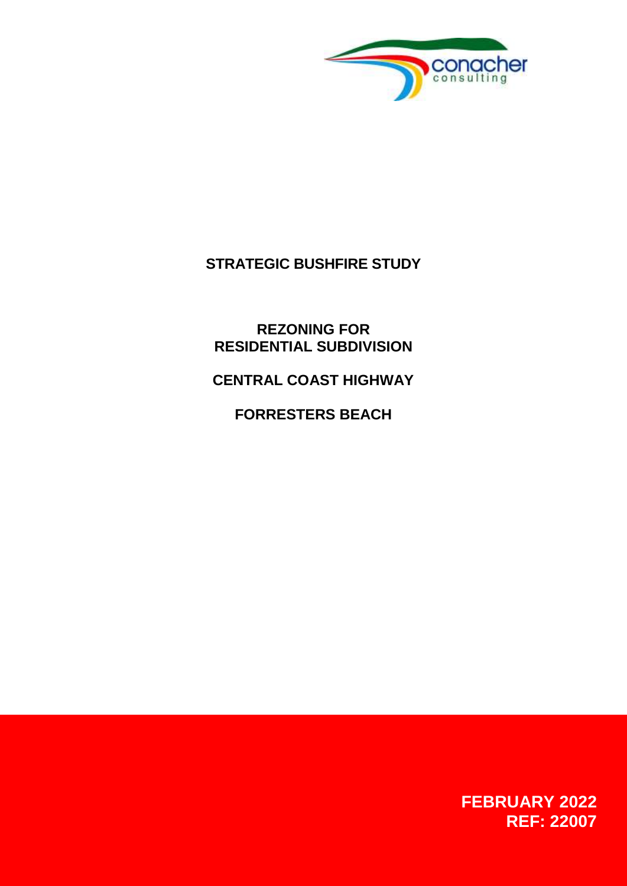

# **STRATEGIC BUSHFIRE STUDY**

**REZONING FOR RESIDENTIAL SUBDIVISION**

**CENTRAL COAST HIGHWAY**

**FORRESTERS BEACH**

**FEBRUARY 2022 REF: 22007**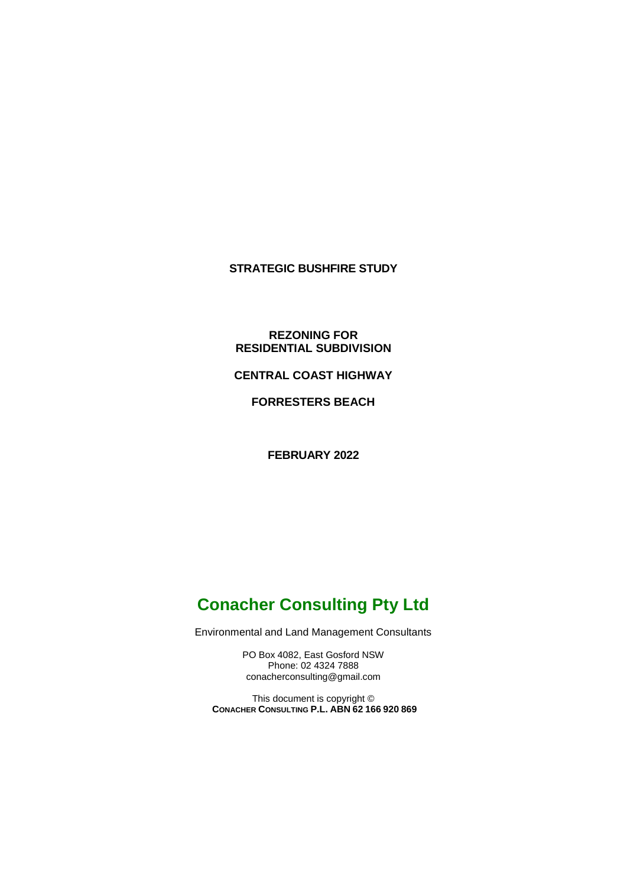### **STRATEGIC BUSHFIRE STUDY**

### **REZONING FOR RESIDENTIAL SUBDIVISION**

**CENTRAL COAST HIGHWAY**

**FORRESTERS BEACH**

**FEBRUARY 2022**

# **Conacher Consulting Pty Ltd**

Environmental and Land Management Consultants

PO Box 4082, East Gosford NSW Phone: 02 4324 7888 conacherconsulting@gmail.com

This document is copyright © **CONACHER CONSULTING P.L. ABN 62 166 920 869**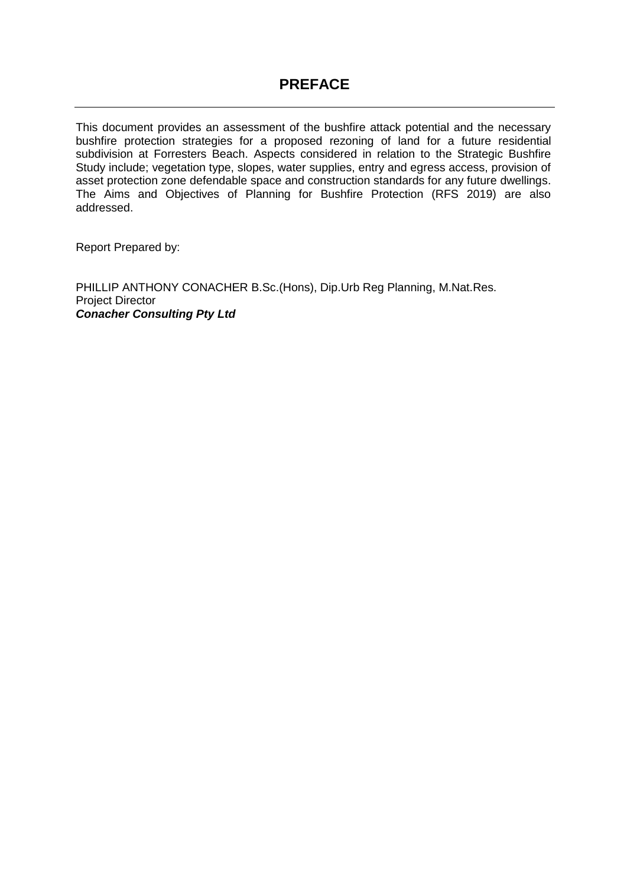## **PREFACE**

This document provides an assessment of the bushfire attack potential and the necessary bushfire protection strategies for a proposed rezoning of land for a future residential subdivision at Forresters Beach. Aspects considered in relation to the Strategic Bushfire Study include; vegetation type, slopes, water supplies, entry and egress access, provision of asset protection zone defendable space and construction standards for any future dwellings. The Aims and Objectives of Planning for Bushfire Protection (RFS 2019) are also addressed.

Report Prepared by:

PHILLIP ANTHONY CONACHER B.Sc.(Hons), Dip.Urb Reg Planning, M.Nat.Res. Project Director *Conacher Consulting Pty Ltd*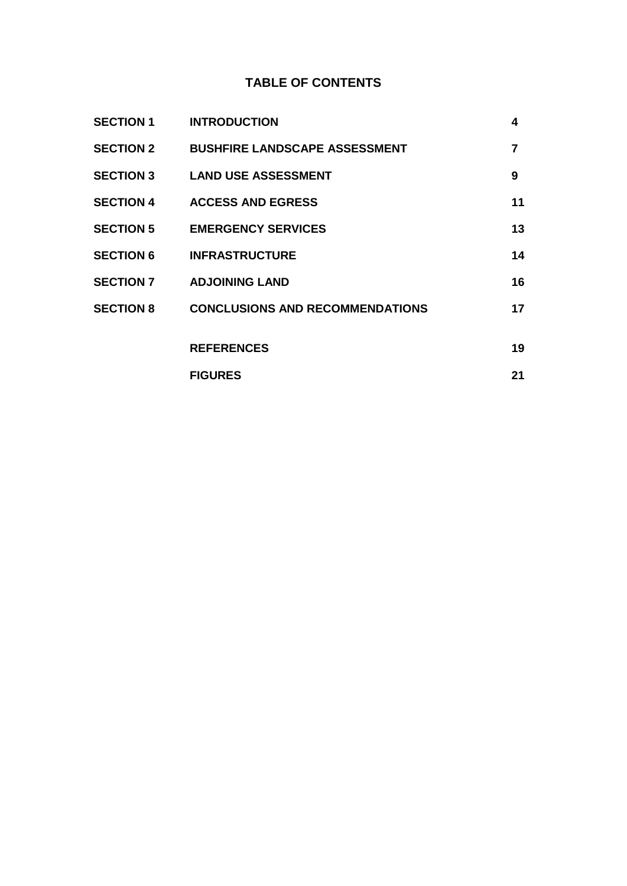## **TABLE OF CONTENTS**

| <b>SECTION 1</b> | <b>INTRODUCTION</b>                    | 4              |
|------------------|----------------------------------------|----------------|
| <b>SECTION 2</b> | <b>BUSHFIRE LANDSCAPE ASSESSMENT</b>   | $\overline{7}$ |
|                  | <b>SECTION 3 LAND USE ASSESSMENT</b>   | 9              |
| <b>SECTION 4</b> | <b>ACCESS AND EGRESS</b>               | 11             |
| <b>SECTION 5</b> | <b>EMERGENCY SERVICES</b>              | 13             |
| <b>SECTION 6</b> | <b>INFRASTRUCTURE</b>                  | 14             |
| <b>SECTION 7</b> | <b>ADJOINING LAND</b>                  | 16             |
| <b>SECTION 8</b> | <b>CONCLUSIONS AND RECOMMENDATIONS</b> | 17             |
|                  |                                        |                |
|                  | <b>REFERENCES</b>                      | 19             |
|                  | <b>FIGURES</b>                         | 21             |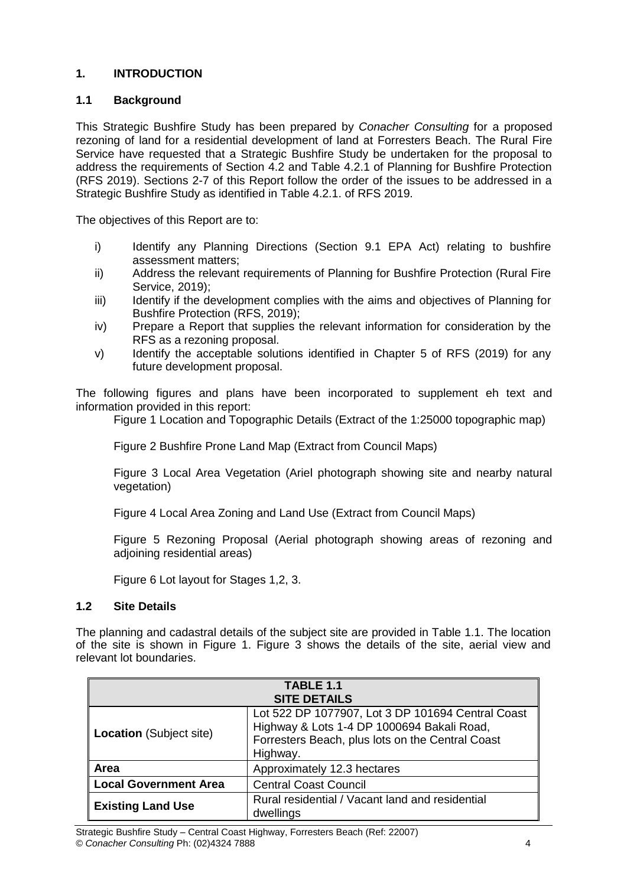### **1. INTRODUCTION**

### **1.1 Background**

This Strategic Bushfire Study has been prepared by *Conacher Consulting* for a proposed rezoning of land for a residential development of land at Forresters Beach. The Rural Fire Service have requested that a Strategic Bushfire Study be undertaken for the proposal to address the requirements of Section 4.2 and Table 4.2.1 of Planning for Bushfire Protection (RFS 2019). Sections 2-7 of this Report follow the order of the issues to be addressed in a Strategic Bushfire Study as identified in Table 4.2.1. of RFS 2019.

The objectives of this Report are to:

- i) Identify any Planning Directions (Section 9.1 EPA Act) relating to bushfire assessment matters;
- ii) Address the relevant requirements of Planning for Bushfire Protection (Rural Fire Service, 2019);
- iii) Identify if the development complies with the aims and objectives of Planning for Bushfire Protection (RFS, 2019);
- iv) Prepare a Report that supplies the relevant information for consideration by the RFS as a rezoning proposal.
- v) Identify the acceptable solutions identified in Chapter 5 of RFS (2019) for any future development proposal.

The following figures and plans have been incorporated to supplement eh text and information provided in this report:

Figure 1 Location and Topographic Details (Extract of the 1:25000 topographic map)

Figure 2 Bushfire Prone Land Map (Extract from Council Maps)

Figure 3 Local Area Vegetation (Ariel photograph showing site and nearby natural vegetation)

Figure 4 Local Area Zoning and Land Use (Extract from Council Maps)

Figure 5 Rezoning Proposal (Aerial photograph showing areas of rezoning and adjoining residential areas)

Figure 6 Lot layout for Stages 1,2, 3.

### **1.2 Site Details**

The planning and cadastral details of the subject site are provided in Table 1.1. The location of the site is shown in Figure 1. Figure 3 shows the details of the site, aerial view and relevant lot boundaries.

| TABLE 1.1<br><b>SITE DETAILS</b> |                                                                                                                                                                 |  |  |  |
|----------------------------------|-----------------------------------------------------------------------------------------------------------------------------------------------------------------|--|--|--|
| <b>Location</b> (Subject site)   | Lot 522 DP 1077907, Lot 3 DP 101694 Central Coast<br>Highway & Lots 1-4 DP 1000694 Bakali Road,<br>Forresters Beach, plus lots on the Central Coast<br>Highway. |  |  |  |
| Area                             | Approximately 12.3 hectares                                                                                                                                     |  |  |  |
| <b>Local Government Area</b>     | <b>Central Coast Council</b>                                                                                                                                    |  |  |  |
| <b>Existing Land Use</b>         | Rural residential / Vacant land and residential<br>dwellings                                                                                                    |  |  |  |

Strategic Bushfire Study – Central Coast Highway, Forresters Beach (Ref: 22007) © *Conacher Consulting* Ph: (02)4324 7888 4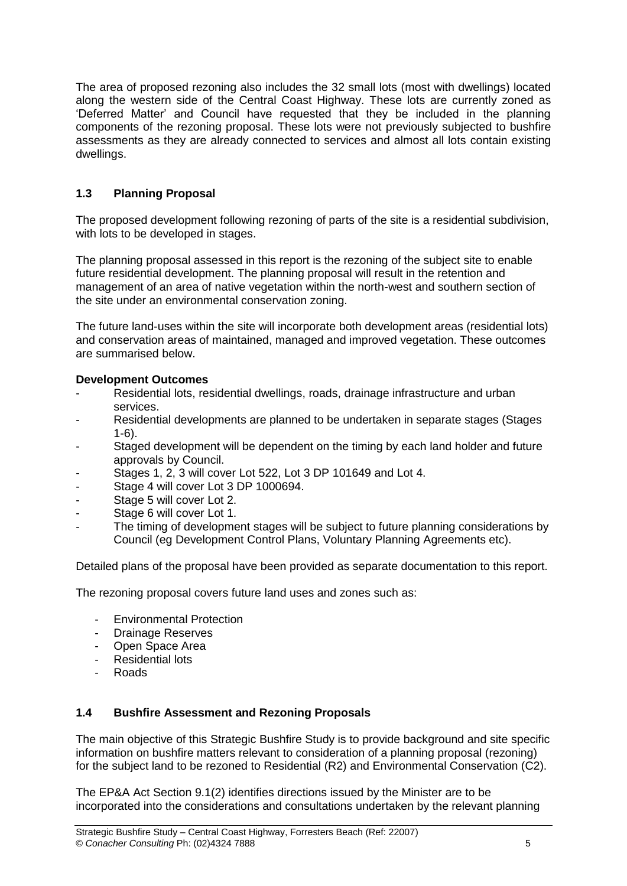The area of proposed rezoning also includes the 32 small lots (most with dwellings) located along the western side of the Central Coast Highway. These lots are currently zoned as 'Deferred Matter' and Council have requested that they be included in the planning components of the rezoning proposal. These lots were not previously subjected to bushfire assessments as they are already connected to services and almost all lots contain existing dwellings.

### **1.3 Planning Proposal**

The proposed development following rezoning of parts of the site is a residential subdivision, with lots to be developed in stages.

The planning proposal assessed in this report is the rezoning of the subject site to enable future residential development. The planning proposal will result in the retention and management of an area of native vegetation within the north-west and southern section of the site under an environmental conservation zoning.

The future land-uses within the site will incorporate both development areas (residential lots) and conservation areas of maintained, managed and improved vegetation. These outcomes are summarised below.

### **Development Outcomes**

- Residential lots, residential dwellings, roads, drainage infrastructure and urban services.
- Residential developments are planned to be undertaken in separate stages (Stages 1-6).
- Staged development will be dependent on the timing by each land holder and future approvals by Council.
- Stages 1, 2, 3 will cover Lot 522, Lot 3 DP 101649 and Lot 4.
- Stage 4 will cover Lot 3 DP 1000694.
- Stage 5 will cover Lot 2.
- Stage 6 will cover Lot 1.
- The timing of development stages will be subject to future planning considerations by Council (eg Development Control Plans, Voluntary Planning Agreements etc).

Detailed plans of the proposal have been provided as separate documentation to this report.

The rezoning proposal covers future land uses and zones such as:

- Environmental Protection
- Drainage Reserves
- Open Space Area
- Residential lots
- Roads

### **1.4 Bushfire Assessment and Rezoning Proposals**

The main objective of this Strategic Bushfire Study is to provide background and site specific information on bushfire matters relevant to consideration of a planning proposal (rezoning) for the subject land to be rezoned to Residential (R2) and Environmental Conservation (C2).

The EP&A Act Section 9.1(2) identifies directions issued by the Minister are to be incorporated into the considerations and consultations undertaken by the relevant planning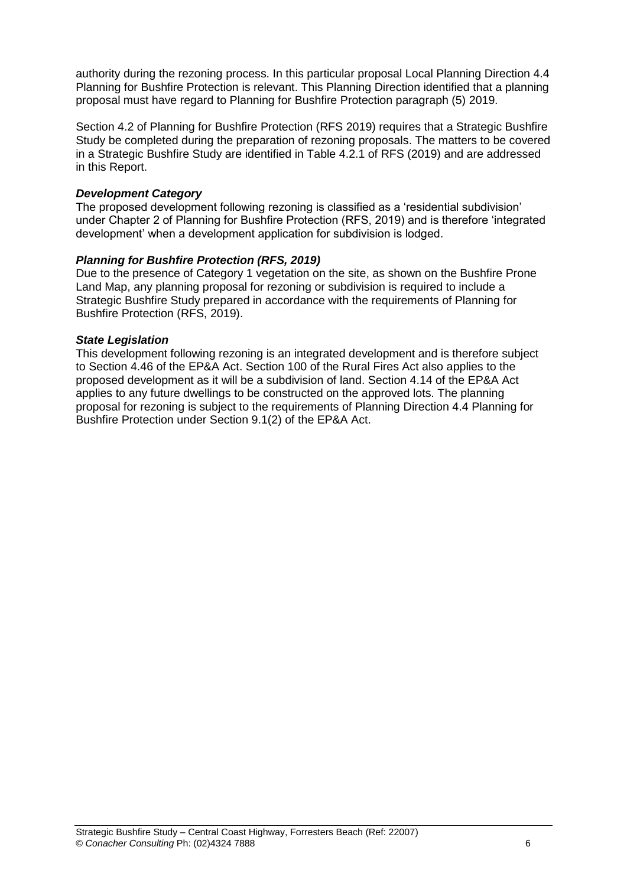authority during the rezoning process. In this particular proposal Local Planning Direction 4.4 Planning for Bushfire Protection is relevant. This Planning Direction identified that a planning proposal must have regard to Planning for Bushfire Protection paragraph (5) 2019.

Section 4.2 of Planning for Bushfire Protection (RFS 2019) requires that a Strategic Bushfire Study be completed during the preparation of rezoning proposals. The matters to be covered in a Strategic Bushfire Study are identified in Table 4.2.1 of RFS (2019) and are addressed in this Report.

### *Development Category*

The proposed development following rezoning is classified as a 'residential subdivision' under Chapter 2 of Planning for Bushfire Protection (RFS, 2019) and is therefore 'integrated development' when a development application for subdivision is lodged.

### *Planning for Bushfire Protection (RFS, 2019)*

Due to the presence of Category 1 vegetation on the site, as shown on the Bushfire Prone Land Map, any planning proposal for rezoning or subdivision is required to include a Strategic Bushfire Study prepared in accordance with the requirements of Planning for Bushfire Protection (RFS, 2019).

### *State Legislation*

This development following rezoning is an integrated development and is therefore subject to Section 4.46 of the EP&A Act. Section 100 of the Rural Fires Act also applies to the proposed development as it will be a subdivision of land. Section 4.14 of the EP&A Act applies to any future dwellings to be constructed on the approved lots. The planning proposal for rezoning is subject to the requirements of Planning Direction 4.4 Planning for Bushfire Protection under Section 9.1(2) of the EP&A Act.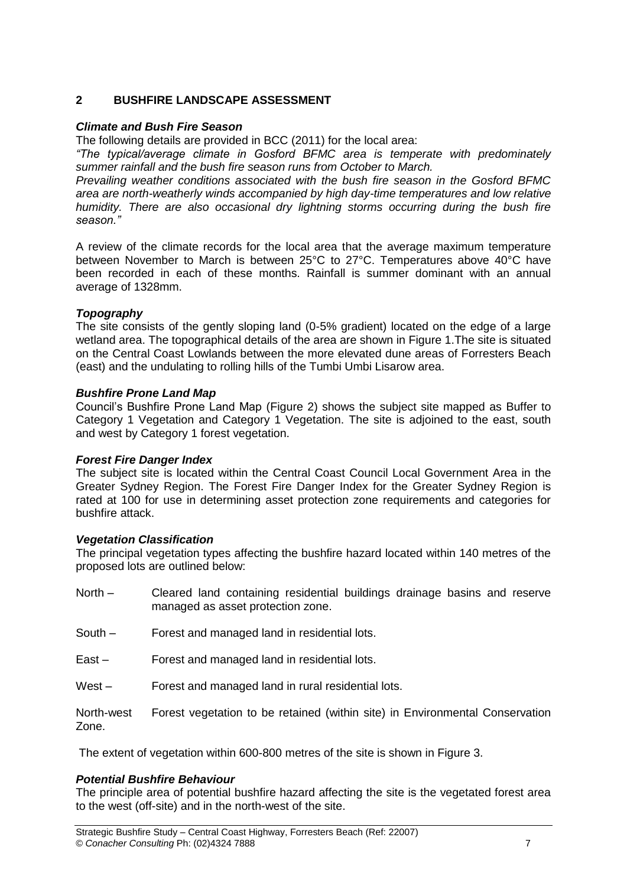### **2 BUSHFIRE LANDSCAPE ASSESSMENT**

### *Climate and Bush Fire Season*

The following details are provided in BCC (2011) for the local area:

*"The typical/average climate in Gosford BFMC area is temperate with predominately summer rainfall and the bush fire season runs from October to March.*

*Prevailing weather conditions associated with the bush fire season in the Gosford BFMC area are north-weatherly winds accompanied by high day-time temperatures and low relative humidity. There are also occasional dry lightning storms occurring during the bush fire season."*

A review of the climate records for the local area that the average maximum temperature between November to March is between 25°C to 27°C. Temperatures above 40°C have been recorded in each of these months. Rainfall is summer dominant with an annual average of 1328mm.

### *Topography*

The site consists of the gently sloping land (0-5% gradient) located on the edge of a large wetland area. The topographical details of the area are shown in Figure 1.The site is situated on the Central Coast Lowlands between the more elevated dune areas of Forresters Beach (east) and the undulating to rolling hills of the Tumbi Umbi Lisarow area.

### *Bushfire Prone Land Map*

Council's Bushfire Prone Land Map (Figure 2) shows the subject site mapped as Buffer to Category 1 Vegetation and Category 1 Vegetation. The site is adjoined to the east, south and west by Category 1 forest vegetation.

### *Forest Fire Danger Index*

The subject site is located within the Central Coast Council Local Government Area in the Greater Sydney Region. The Forest Fire Danger Index for the Greater Sydney Region is rated at 100 for use in determining asset protection zone requirements and categories for bushfire attack.

### *Vegetation Classification*

The principal vegetation types affecting the bushfire hazard located within 140 metres of the proposed lots are outlined below:

- North Cleared land containing residential buildings drainage basins and reserve managed as asset protection zone.
- South Forest and managed land in residential lots.
- East Forest and managed land in residential lots.
- West Forest and managed land in rural residential lots.

North-west Forest vegetation to be retained (within site) in Environmental Conservation Zone.

The extent of vegetation within 600-800 metres of the site is shown in Figure 3.

### *Potential Bushfire Behaviour*

The principle area of potential bushfire hazard affecting the site is the vegetated forest area to the west (off-site) and in the north-west of the site.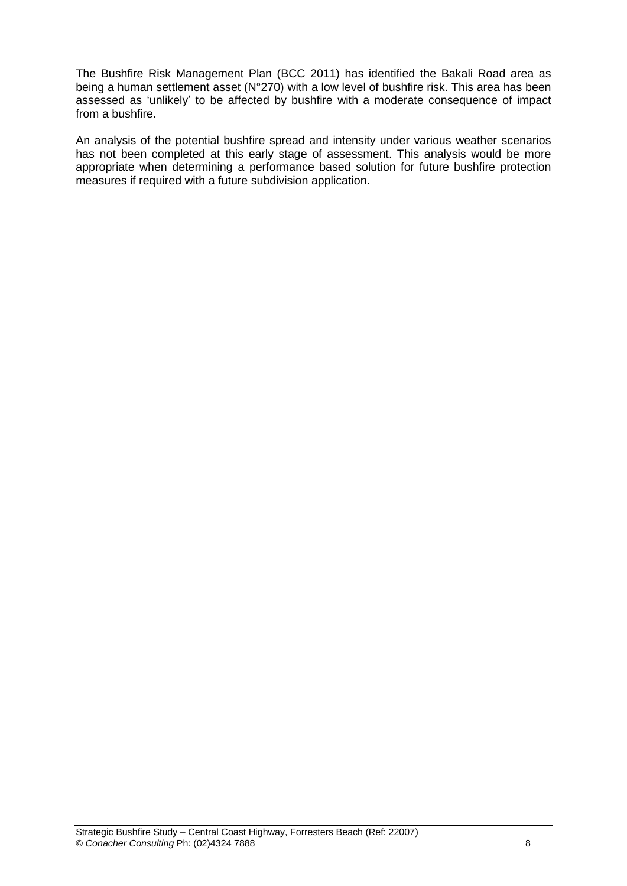The Bushfire Risk Management Plan (BCC 2011) has identified the Bakali Road area as being a human settlement asset (N°270) with a low level of bushfire risk. This area has been assessed as 'unlikely' to be affected by bushfire with a moderate consequence of impact from a bushfire.

An analysis of the potential bushfire spread and intensity under various weather scenarios has not been completed at this early stage of assessment. This analysis would be more appropriate when determining a performance based solution for future bushfire protection measures if required with a future subdivision application.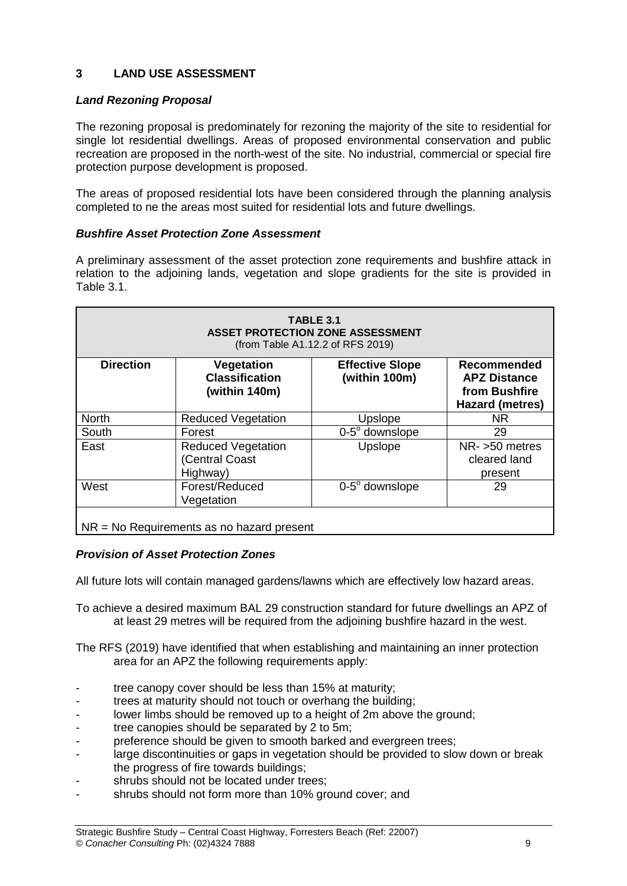### **3 LAND USE ASSESSMENT**

### *Land Rezoning Proposal*

The rezoning proposal is predominately for rezoning the majority of the site to residential for single lot residential dwellings. Areas of proposed environmental conservation and public recreation are proposed in the north-west of the site. No industrial, commercial or special fire protection purpose development is proposed.

The areas of proposed residential lots have been considered through the planning analysis completed to ne the areas most suited for residential lots and future dwellings.

### *Bushfire Asset Protection Zone Assessment*

A preliminary assessment of the asset protection zone requirements and bushfire attack in relation to the adjoining lands, vegetation and slope gradients for the site is provided in Table 3.1.

| <b>TABLE 3.1</b><br>ASSET PROTECTION ZONE ASSESSMENT<br>(from Table A1.12.2 of RFS 2019) |                                                         |                                         |                                                                               |  |  |  |
|------------------------------------------------------------------------------------------|---------------------------------------------------------|-----------------------------------------|-------------------------------------------------------------------------------|--|--|--|
| <b>Direction</b>                                                                         | Vegetation<br><b>Classification</b><br>(within 140m)    | <b>Effective Slope</b><br>(within 100m) | Recommended<br><b>APZ Distance</b><br>from Bushfire<br><b>Hazard (metres)</b> |  |  |  |
| <b>North</b>                                                                             | <b>Reduced Vegetation</b>                               | Upslope                                 | NR                                                                            |  |  |  |
| South                                                                                    | Forest                                                  | $0-5^\circ$ downslope                   | 29                                                                            |  |  |  |
| East                                                                                     | <b>Reduced Vegetation</b><br>(Central Coast<br>Highway) | Upslope                                 | NR- >50 metres<br>cleared land<br>present                                     |  |  |  |
| West                                                                                     | Forest/Reduced<br>Vegetation                            | $0-5^\circ$ downslope                   | 29                                                                            |  |  |  |
| $NR = No$ Requirements as no hazard present                                              |                                                         |                                         |                                                                               |  |  |  |

### *Provision of Asset Protection Zones*

All future lots will contain managed gardens/lawns which are effectively low hazard areas.

To achieve a desired maximum BAL 29 construction standard for future dwellings an APZ of at least 29 metres will be required from the adjoining bushfire hazard in the west.

The RFS (2019) have identified that when establishing and maintaining an inner protection area for an APZ the following requirements apply:

- tree canopy cover should be less than 15% at maturity:
- trees at maturity should not touch or overhang the building;
- lower limbs should be removed up to a height of 2m above the ground;
- tree canopies should be separated by 2 to 5m;
- preference should be given to smooth barked and evergreen trees;
- large discontinuities or gaps in vegetation should be provided to slow down or break the progress of fire towards buildings;
- shrubs should not be located under trees:
- shrubs should not form more than 10% ground cover; and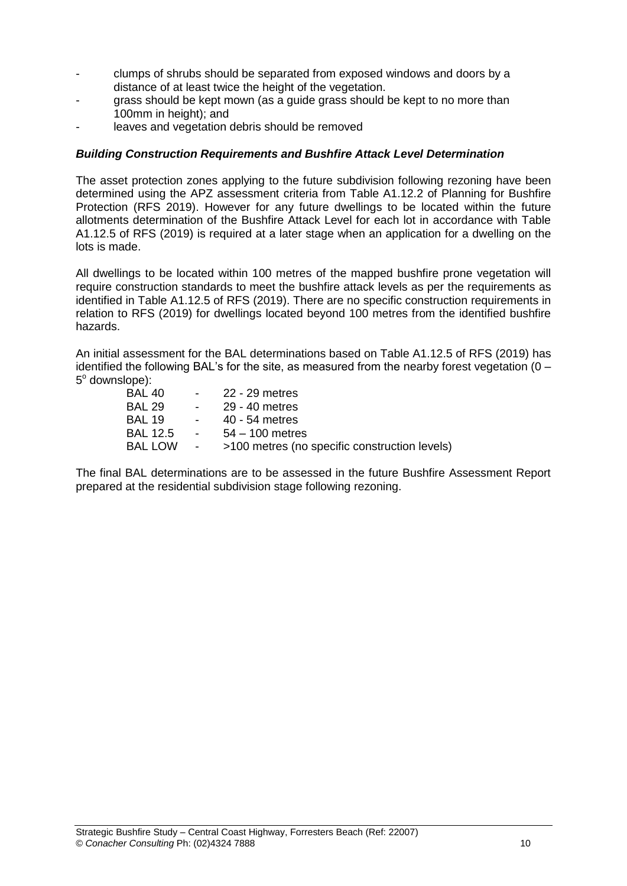- clumps of shrubs should be separated from exposed windows and doors by a distance of at least twice the height of the vegetation.
- grass should be kept mown (as a guide grass should be kept to no more than 100mm in height); and
- leaves and vegetation debris should be removed

#### *Building Construction Requirements and Bushfire Attack Level Determination*

The asset protection zones applying to the future subdivision following rezoning have been determined using the APZ assessment criteria from Table A1.12.2 of Planning for Bushfire Protection (RFS 2019). However for any future dwellings to be located within the future allotments determination of the Bushfire Attack Level for each lot in accordance with Table A1.12.5 of RFS (2019) is required at a later stage when an application for a dwelling on the lots is made.

All dwellings to be located within 100 metres of the mapped bushfire prone vegetation will require construction standards to meet the bushfire attack levels as per the requirements as identified in Table A1.12.5 of RFS (2019). There are no specific construction requirements in relation to RFS (2019) for dwellings located beyond 100 metres from the identified bushfire hazards.

An initial assessment for the BAL determinations based on Table A1.12.5 of RFS (2019) has identified the following BAL's for the site, as measured from the nearby forest vegetation  $(0 -$ 5° downslope):

| BAL 40   | $\sim$ 100 $\mu$ m $^{-1}$ | 22 - 29 metres                                |
|----------|----------------------------|-----------------------------------------------|
| BAL 29   | $\sim 100$                 | 29 - 40 metres                                |
| BAL 19   | $\sim$ 100 $\mu$           | 40 - 54 metres                                |
| BAL 12.5 | <b>Contract Contract</b>   | $54 - 100$ metres                             |
| BAL LOW  | $\sim 1000$ m $^{-1}$      | >100 metres (no specific construction levels) |
|          |                            |                                               |

The final BAL determinations are to be assessed in the future Bushfire Assessment Report prepared at the residential subdivision stage following rezoning.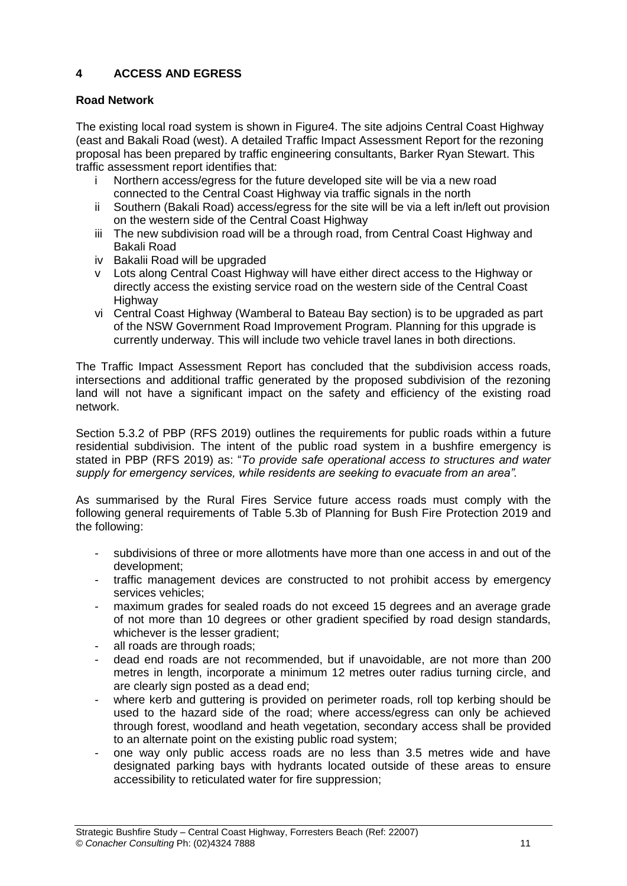### **4 ACCESS AND EGRESS**

### **Road Network**

The existing local road system is shown in Figure4. The site adjoins Central Coast Highway (east and Bakali Road (west). A detailed Traffic Impact Assessment Report for the rezoning proposal has been prepared by traffic engineering consultants, Barker Ryan Stewart. This traffic assessment report identifies that:

- i Northern access/egress for the future developed site will be via a new road connected to the Central Coast Highway via traffic signals in the north
- ii Southern (Bakali Road) access/egress for the site will be via a left in/left out provision on the western side of the Central Coast Highway
- iii The new subdivision road will be a through road, from Central Coast Highway and Bakali Road
- iv Bakalii Road will be upgraded
- v Lots along Central Coast Highway will have either direct access to the Highway or directly access the existing service road on the western side of the Central Coast Highway
- vi Central Coast Highway (Wamberal to Bateau Bay section) is to be upgraded as part of the NSW Government Road Improvement Program. Planning for this upgrade is currently underway. This will include two vehicle travel lanes in both directions.

The Traffic Impact Assessment Report has concluded that the subdivision access roads, intersections and additional traffic generated by the proposed subdivision of the rezoning land will not have a significant impact on the safety and efficiency of the existing road network.

Section 5.3.2 of PBP (RFS 2019) outlines the requirements for public roads within a future residential subdivision. The intent of the public road system in a bushfire emergency is stated in PBP (RFS 2019) as: "*To provide safe operational access to structures and water supply for emergency services, while residents are seeking to evacuate from an area".*

As summarised by the Rural Fires Service future access roads must comply with the following general requirements of Table 5.3b of Planning for Bush Fire Protection 2019 and the following:

- subdivisions of three or more allotments have more than one access in and out of the development;
- traffic management devices are constructed to not prohibit access by emergency services vehicles;
- maximum grades for sealed roads do not exceed 15 degrees and an average grade of not more than 10 degrees or other gradient specified by road design standards, whichever is the lesser gradient:
- all roads are through roads;
- dead end roads are not recommended, but if unavoidable, are not more than 200 metres in length, incorporate a minimum 12 metres outer radius turning circle, and are clearly sign posted as a dead end;
- where kerb and guttering is provided on perimeter roads, roll top kerbing should be used to the hazard side of the road; where access/egress can only be achieved through forest, woodland and heath vegetation, secondary access shall be provided to an alternate point on the existing public road system;
- one way only public access roads are no less than 3.5 metres wide and have designated parking bays with hydrants located outside of these areas to ensure accessibility to reticulated water for fire suppression;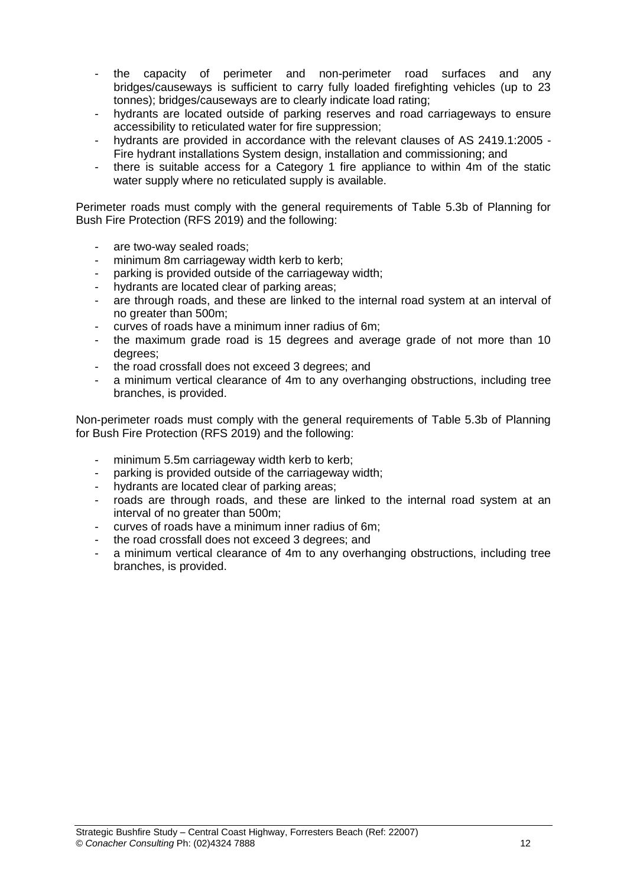- the capacity of perimeter and non-perimeter road surfaces and any bridges/causeways is sufficient to carry fully loaded firefighting vehicles (up to 23 tonnes); bridges/causeways are to clearly indicate load rating;
- hydrants are located outside of parking reserves and road carriageways to ensure accessibility to reticulated water for fire suppression;
- hydrants are provided in accordance with the relevant clauses of AS 2419.1:2005 -Fire hydrant installations System design, installation and commissioning; and
- there is suitable access for a Category 1 fire appliance to within 4m of the static water supply where no reticulated supply is available.

Perimeter roads must comply with the general requirements of Table 5.3b of Planning for Bush Fire Protection (RFS 2019) and the following:

- are two-way sealed roads;
- minimum 8m carriageway width kerb to kerb;
- parking is provided outside of the carriageway width;
- hydrants are located clear of parking areas;
- are through roads, and these are linked to the internal road system at an interval of no greater than 500m;
- curves of roads have a minimum inner radius of 6m;
- the maximum grade road is 15 degrees and average grade of not more than 10 degrees;
- the road crossfall does not exceed 3 degrees; and
- a minimum vertical clearance of 4m to any overhanging obstructions, including tree branches, is provided.

Non-perimeter roads must comply with the general requirements of Table 5.3b of Planning for Bush Fire Protection (RFS 2019) and the following:

- minimum 5.5m carriageway width kerb to kerb;
- parking is provided outside of the carriageway width;
- hydrants are located clear of parking areas;
- roads are through roads, and these are linked to the internal road system at an interval of no greater than 500m;
- curves of roads have a minimum inner radius of 6m;
- the road crossfall does not exceed 3 degrees; and
- a minimum vertical clearance of 4m to any overhanging obstructions, including tree branches, is provided.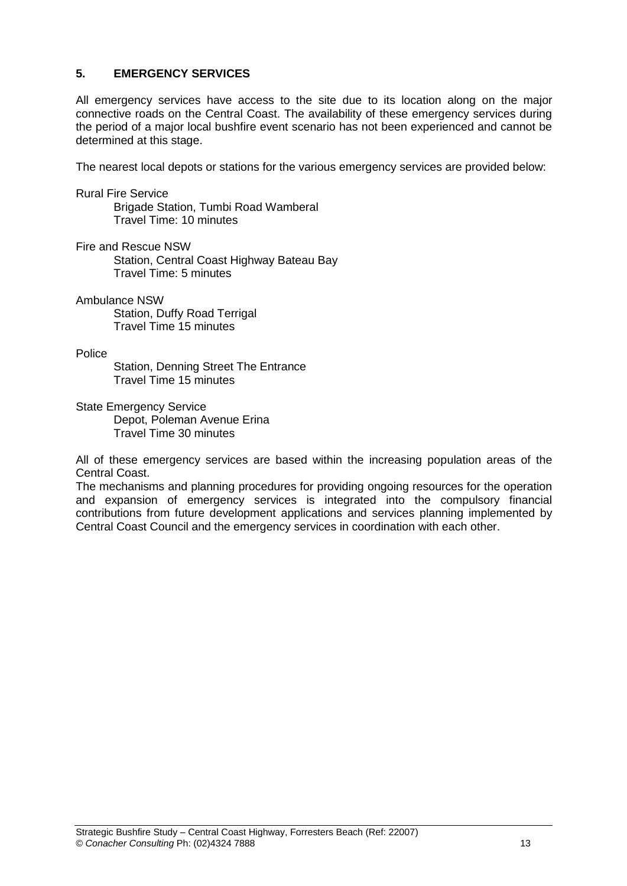### **5. EMERGENCY SERVICES**

All emergency services have access to the site due to its location along on the major connective roads on the Central Coast. The availability of these emergency services during the period of a major local bushfire event scenario has not been experienced and cannot be determined at this stage.

The nearest local depots or stations for the various emergency services are provided below:

Rural Fire Service

Brigade Station, Tumbi Road Wamberal Travel Time: 10 minutes

Fire and Rescue NSW

Station, Central Coast Highway Bateau Bay Travel Time: 5 minutes

#### Ambulance NSW

Station, Duffy Road Terrigal Travel Time 15 minutes

#### Police

Station, Denning Street The Entrance Travel Time 15 minutes

State Emergency Service

Depot, Poleman Avenue Erina Travel Time 30 minutes

All of these emergency services are based within the increasing population areas of the Central Coast.

The mechanisms and planning procedures for providing ongoing resources for the operation and expansion of emergency services is integrated into the compulsory financial contributions from future development applications and services planning implemented by Central Coast Council and the emergency services in coordination with each other.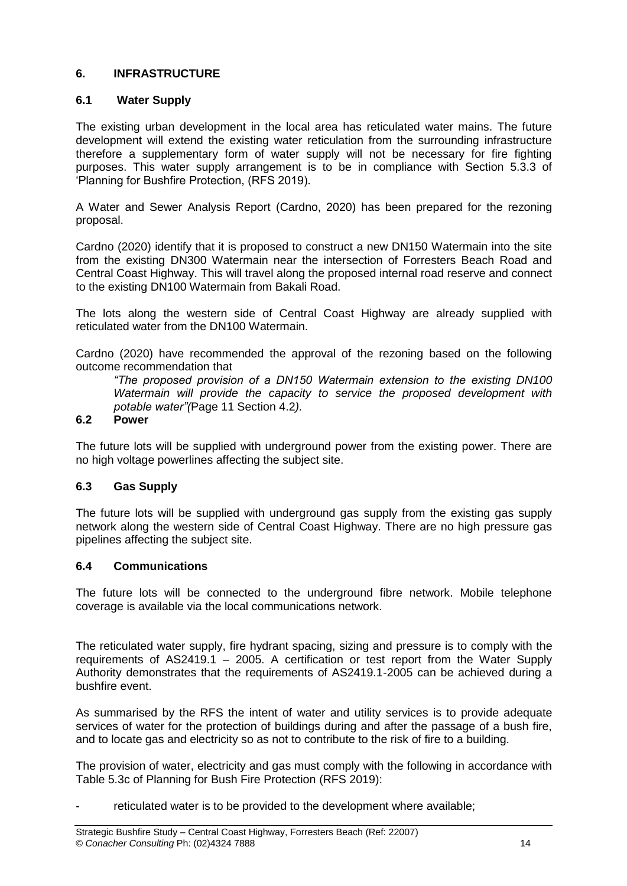### **6. INFRASTRUCTURE**

### **6.1 Water Supply**

The existing urban development in the local area has reticulated water mains. The future development will extend the existing water reticulation from the surrounding infrastructure therefore a supplementary form of water supply will not be necessary for fire fighting purposes. This water supply arrangement is to be in compliance with Section 5.3.3 of 'Planning for Bushfire Protection, (RFS 2019).

A Water and Sewer Analysis Report (Cardno, 2020) has been prepared for the rezoning proposal.

Cardno (2020) identify that it is proposed to construct a new DN150 Watermain into the site from the existing DN300 Watermain near the intersection of Forresters Beach Road and Central Coast Highway. This will travel along the proposed internal road reserve and connect to the existing DN100 Watermain from Bakali Road.

The lots along the western side of Central Coast Highway are already supplied with reticulated water from the DN100 Watermain.

Cardno (2020) have recommended the approval of the rezoning based on the following outcome recommendation that

*"The proposed provision of a DN150 Watermain extension to the existing DN100 Watermain will provide the capacity to service the proposed development with potable water"(*Page 11 Section 4.2*).*

### **6.2 Power**

The future lots will be supplied with underground power from the existing power. There are no high voltage powerlines affecting the subject site.

### **6.3 Gas Supply**

The future lots will be supplied with underground gas supply from the existing gas supply network along the western side of Central Coast Highway. There are no high pressure gas pipelines affecting the subject site.

### **6.4 Communications**

The future lots will be connected to the underground fibre network. Mobile telephone coverage is available via the local communications network.

The reticulated water supply, fire hydrant spacing, sizing and pressure is to comply with the requirements of AS2419.1 – 2005. A certification or test report from the Water Supply Authority demonstrates that the requirements of AS2419.1-2005 can be achieved during a bushfire event.

As summarised by the RFS the intent of water and utility services is to provide adequate services of water for the protection of buildings during and after the passage of a bush fire, and to locate gas and electricity so as not to contribute to the risk of fire to a building.

The provision of water, electricity and gas must comply with the following in accordance with Table 5.3c of Planning for Bush Fire Protection (RFS 2019):

reticulated water is to be provided to the development where available;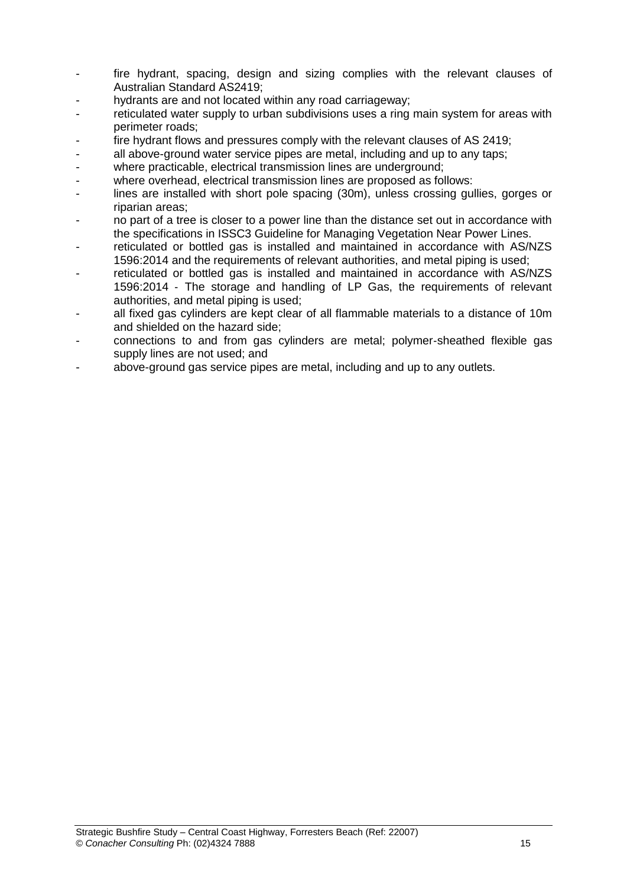- fire hydrant, spacing, design and sizing complies with the relevant clauses of Australian Standard AS2419;
- hydrants are and not located within any road carriageway;
- reticulated water supply to urban subdivisions uses a ring main system for areas with perimeter roads;
- fire hydrant flows and pressures comply with the relevant clauses of AS 2419;
- all above-ground water service pipes are metal, including and up to any taps;
- where practicable, electrical transmission lines are underground;
- where overhead, electrical transmission lines are proposed as follows:
- lines are installed with short pole spacing (30m), unless crossing gullies, gorges or riparian areas;
- no part of a tree is closer to a power line than the distance set out in accordance with the specifications in ISSC3 Guideline for Managing Vegetation Near Power Lines.
- reticulated or bottled gas is installed and maintained in accordance with AS/NZS 1596:2014 and the requirements of relevant authorities, and metal piping is used;
- reticulated or bottled gas is installed and maintained in accordance with AS/NZS 1596:2014 ‐ The storage and handling of LP Gas, the requirements of relevant authorities, and metal piping is used;
- all fixed gas cylinders are kept clear of all flammable materials to a distance of 10m and shielded on the hazard side;
- connections to and from gas cylinders are metal; polymer‐sheathed flexible gas supply lines are not used; and
- above-ground gas service pipes are metal, including and up to any outlets.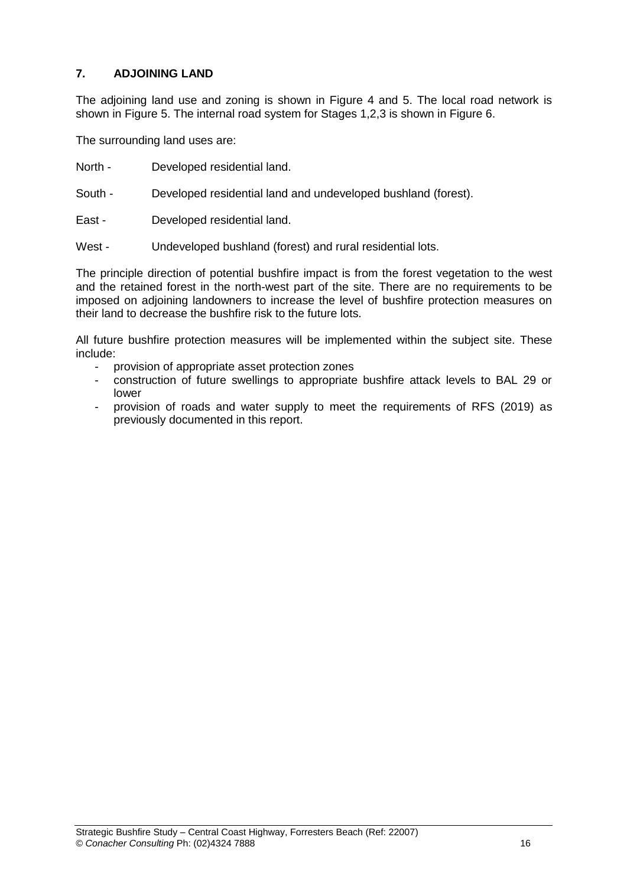### **7. ADJOINING LAND**

The adjoining land use and zoning is shown in Figure 4 and 5. The local road network is shown in Figure 5. The internal road system for Stages 1,2,3 is shown in Figure 6.

The surrounding land uses are:

- North Developed residential land.
- South Developed residential land and undeveloped bushland (forest).
- East Developed residential land.
- West Undeveloped bushland (forest) and rural residential lots.

The principle direction of potential bushfire impact is from the forest vegetation to the west and the retained forest in the north-west part of the site. There are no requirements to be imposed on adjoining landowners to increase the level of bushfire protection measures on their land to decrease the bushfire risk to the future lots.

All future bushfire protection measures will be implemented within the subject site. These include:

- provision of appropriate asset protection zones
- construction of future swellings to appropriate bushfire attack levels to BAL 29 or lower
- provision of roads and water supply to meet the requirements of RFS (2019) as previously documented in this report.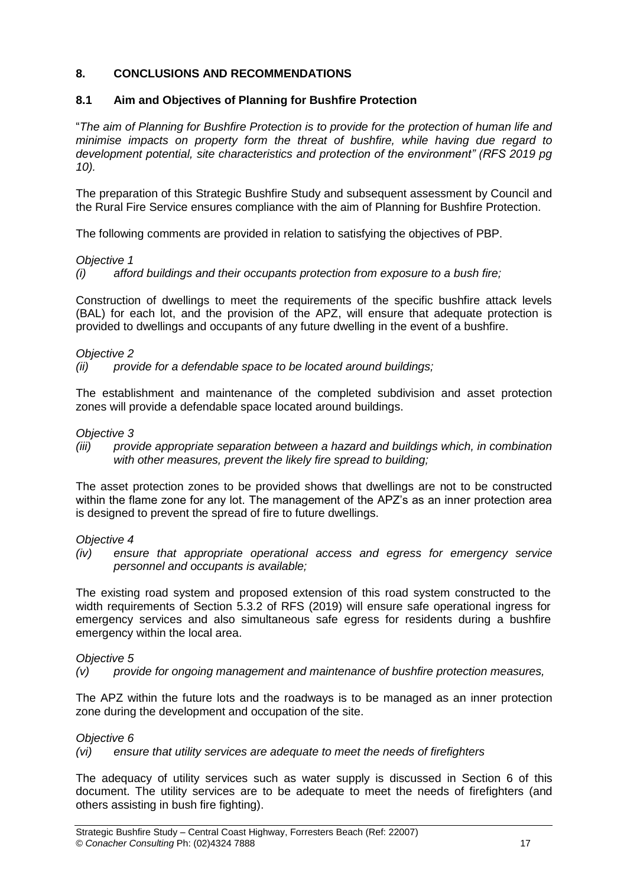### **8. CONCLUSIONS AND RECOMMENDATIONS**

### **8.1 Aim and Objectives of Planning for Bushfire Protection**

"*The aim of Planning for Bushfire Protection is to provide for the protection of human life and minimise impacts on property form the threat of bushfire, while having due regard to development potential, site characteristics and protection of the environment" (RFS 2019 pg 10).*

The preparation of this Strategic Bushfire Study and subsequent assessment by Council and the Rural Fire Service ensures compliance with the aim of Planning for Bushfire Protection.

The following comments are provided in relation to satisfying the objectives of PBP.

### *Objective 1*

*(i) afford buildings and their occupants protection from exposure to a bush fire;*

Construction of dwellings to meet the requirements of the specific bushfire attack levels (BAL) for each lot, and the provision of the APZ, will ensure that adequate protection is provided to dwellings and occupants of any future dwelling in the event of a bushfire.

### *Objective 2*

*(ii) provide for a defendable space to be located around buildings;*

The establishment and maintenance of the completed subdivision and asset protection zones will provide a defendable space located around buildings.

#### *Objective 3*

*(iii) provide appropriate separation between a hazard and buildings which, in combination with other measures, prevent the likely fire spread to building;*

The asset protection zones to be provided shows that dwellings are not to be constructed within the flame zone for any lot. The management of the APZ's as an inner protection area is designed to prevent the spread of fire to future dwellings.

#### *Objective 4*

*(iv) ensure that appropriate operational access and egress for emergency service personnel and occupants is available;*

The existing road system and proposed extension of this road system constructed to the width requirements of Section 5.3.2 of RFS (2019) will ensure safe operational ingress for emergency services and also simultaneous safe egress for residents during a bushfire emergency within the local area.

### *Objective 5*

*(v) provide for ongoing management and maintenance of bushfire protection measures,* 

The APZ within the future lots and the roadways is to be managed as an inner protection zone during the development and occupation of the site.

#### *Objective 6*

*(vi) ensure that utility services are adequate to meet the needs of firefighters* 

The adequacy of utility services such as water supply is discussed in Section 6 of this document. The utility services are to be adequate to meet the needs of firefighters (and others assisting in bush fire fighting).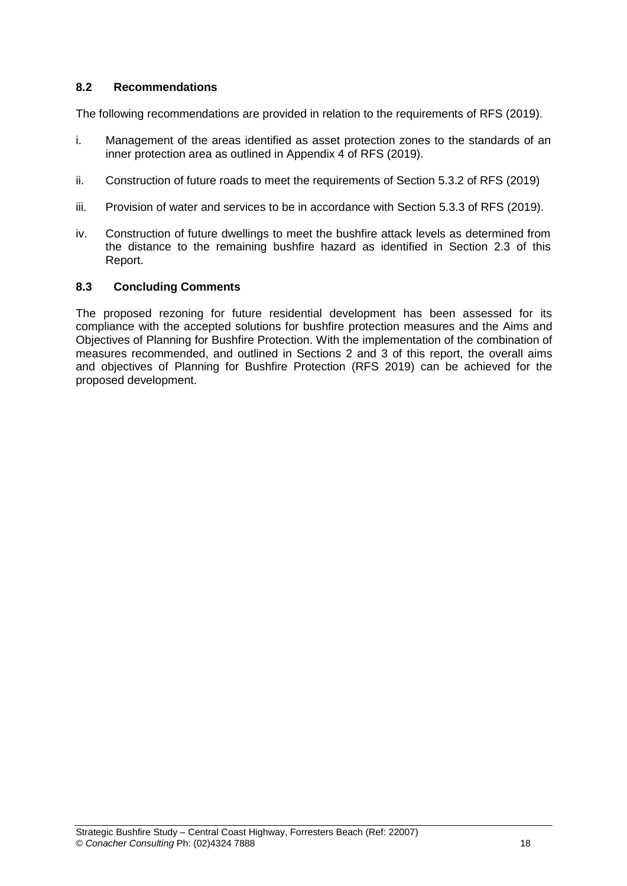### **8.2 Recommendations**

The following recommendations are provided in relation to the requirements of RFS (2019).

- i. Management of the areas identified as asset protection zones to the standards of an inner protection area as outlined in Appendix 4 of RFS (2019).
- ii. Construction of future roads to meet the requirements of Section 5.3.2 of RFS (2019)
- iii. Provision of water and services to be in accordance with Section 5.3.3 of RFS (2019).
- iv. Construction of future dwellings to meet the bushfire attack levels as determined from the distance to the remaining bushfire hazard as identified in Section 2.3 of this Report.

#### **8.3 Concluding Comments**

The proposed rezoning for future residential development has been assessed for its compliance with the accepted solutions for bushfire protection measures and the Aims and Objectives of Planning for Bushfire Protection. With the implementation of the combination of measures recommended, and outlined in Sections 2 and 3 of this report, the overall aims and objectives of Planning for Bushfire Protection (RFS 2019) can be achieved for the proposed development.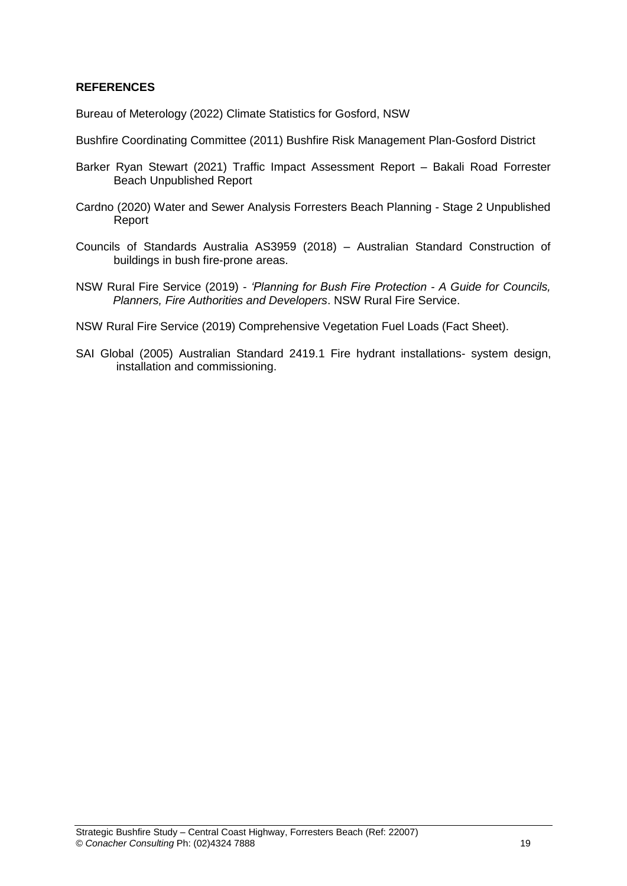### **REFERENCES**

Bureau of Meterology (2022) Climate Statistics for Gosford, NSW

- Bushfire Coordinating Committee (2011) Bushfire Risk Management Plan-Gosford District
- Barker Ryan Stewart (2021) Traffic Impact Assessment Report Bakali Road Forrester Beach Unpublished Report
- Cardno (2020) Water and Sewer Analysis Forresters Beach Planning Stage 2 Unpublished Report
- Councils of Standards Australia AS3959 (2018) Australian Standard Construction of buildings in bush fire-prone areas.
- NSW Rural Fire Service (2019) *'Planning for Bush Fire Protection - A Guide for Councils, Planners, Fire Authorities and Developers*. NSW Rural Fire Service.

NSW Rural Fire Service (2019) Comprehensive Vegetation Fuel Loads (Fact Sheet).

SAI Global (2005) Australian Standard 2419.1 Fire hydrant installations- system design, installation and commissioning.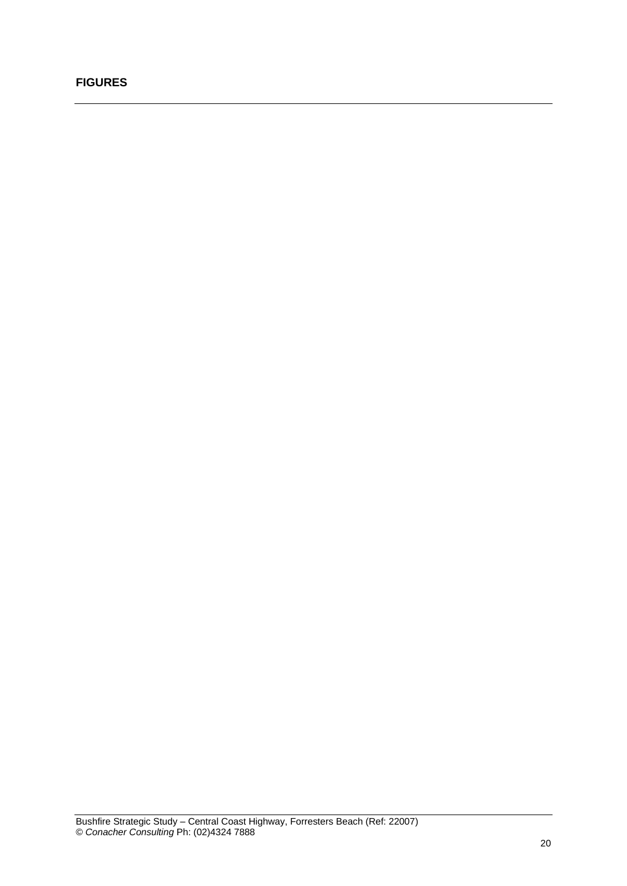### **FIGURES**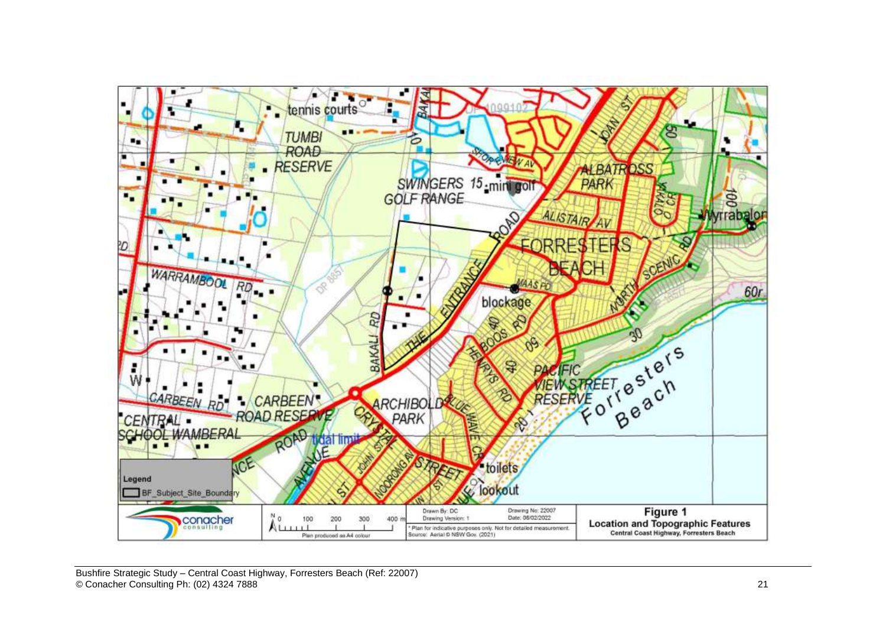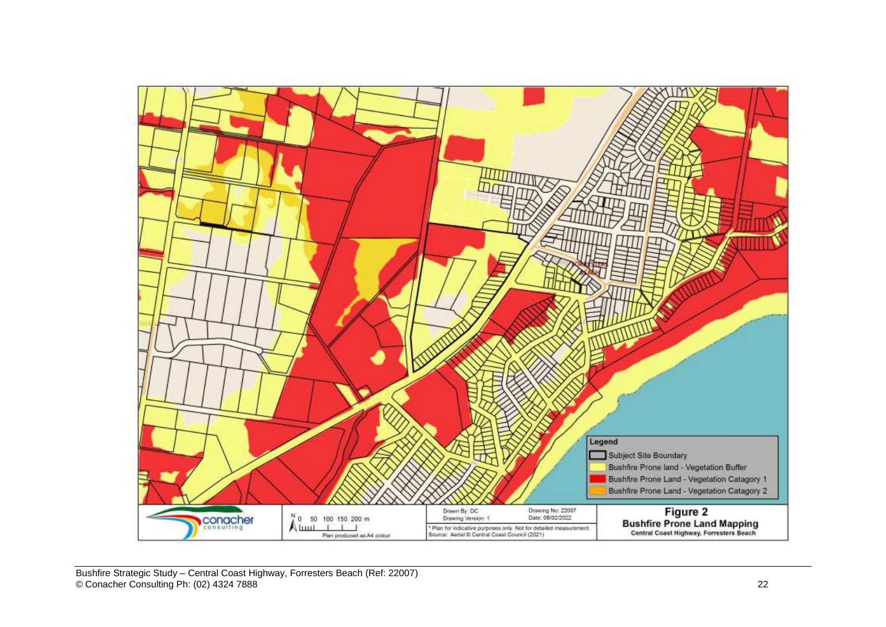

Bushfire Strategic Study – Central Coast Highway, Forresters Beach (Ref: 22007 ) © Conacher Consulting Ph: (02) 4324 7888 22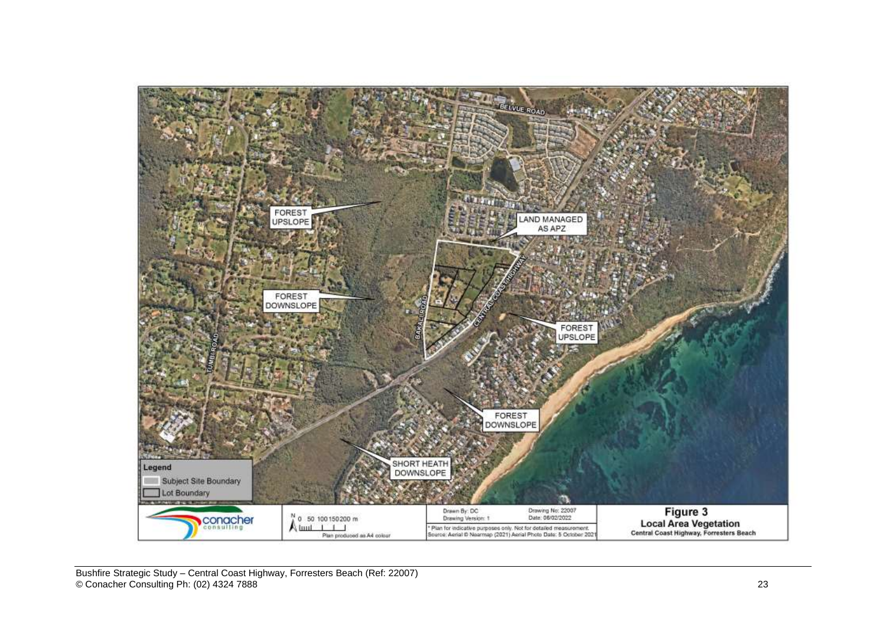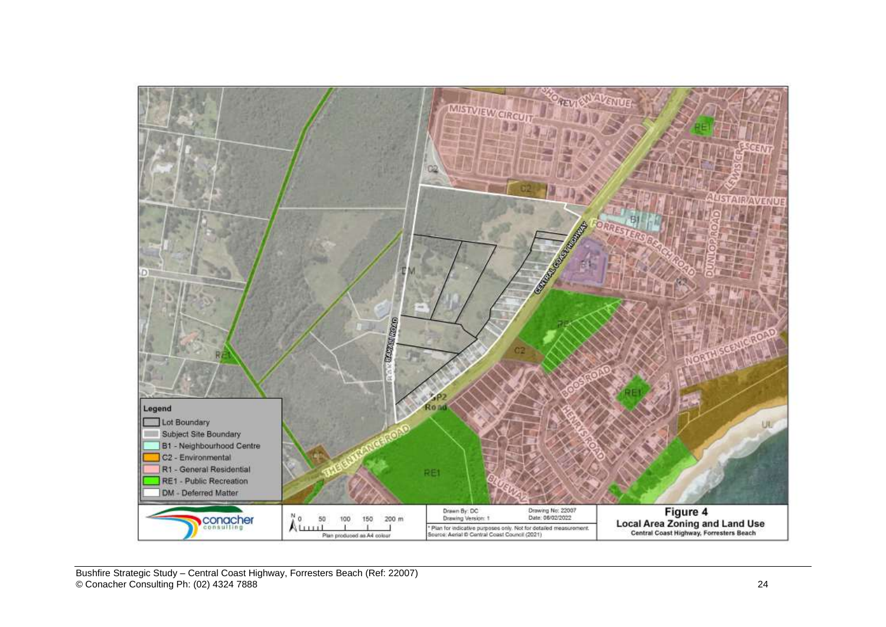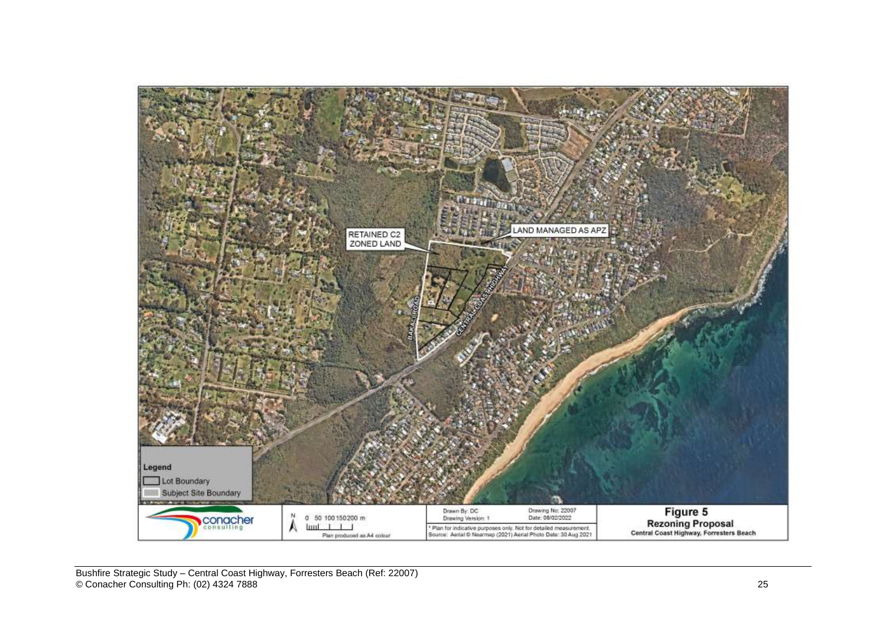